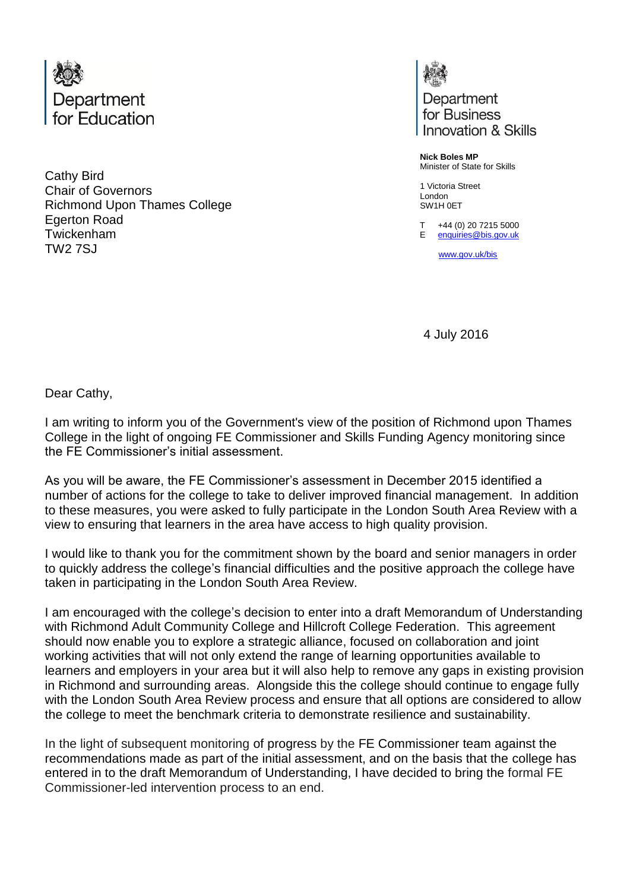

Cathy Bird Chair of Governors Richmond Upon Thames College Egerton Road Twickenham TW2 7SJ

Department for Business Innovation & Skills

**Nick Boles MP** Minister of State for Skills

1 Victoria Street London SW1H 0ET

T E [enquiries@bis.gov.uk](mailto:enquiries@bis.gov.uk) +44 (0) 20 7215 5000

[www.gov.uk/bis](http://www.gov.uk/bis)

4 July 2016

Dear Cathy,

I am writing to inform you of the Government's view of the position of Richmond upon Thames College in the light of ongoing FE Commissioner and Skills Funding Agency monitoring since the FE Commissioner's initial assessment.

As you will be aware, the FE Commissioner's assessment in December 2015 identified a number of actions for the college to take to deliver improved financial management. In addition to these measures, you were asked to fully participate in the London South Area Review with a view to ensuring that learners in the area have access to high quality provision.

I would like to thank you for the commitment shown by the board and senior managers in order to quickly address the college's financial difficulties and the positive approach the college have taken in participating in the London South Area Review.

I am encouraged with the college's decision to enter into a draft Memorandum of Understanding with Richmond Adult Community College and Hillcroft College Federation. This agreement should now enable you to explore a strategic alliance, focused on collaboration and joint working activities that will not only extend the range of learning opportunities available to learners and employers in your area but it will also help to remove any gaps in existing provision in Richmond and surrounding areas. Alongside this the college should continue to engage fully with the London South Area Review process and ensure that all options are considered to allow the college to meet the benchmark criteria to demonstrate resilience and sustainability.

In the light of subsequent monitoring of progress by the FE Commissioner team against the recommendations made as part of the initial assessment, and on the basis that the college has entered in to the draft Memorandum of Understanding, I have decided to bring the formal FE Commissioner-led intervention process to an end.